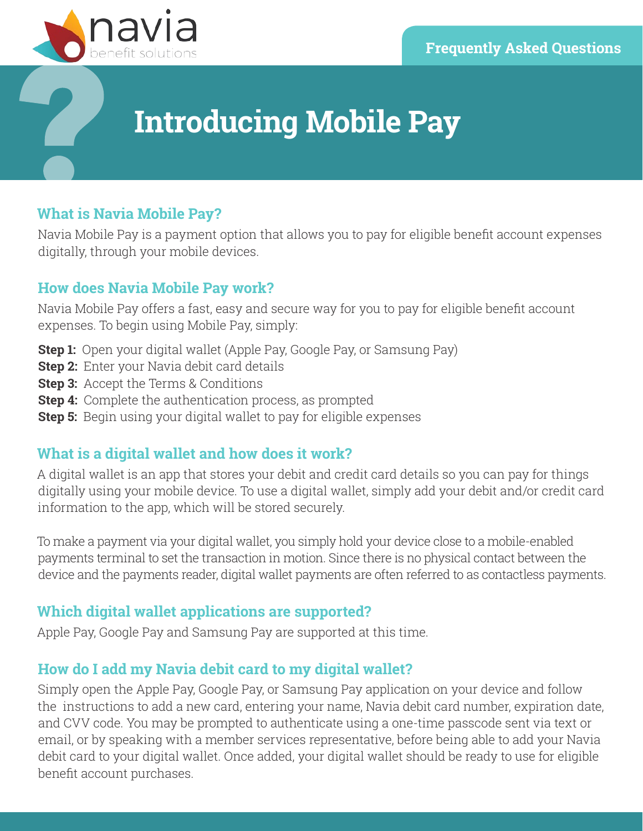

# **Introducing Mobile Pay**

### **What is Navia Mobile Pay?**

Navia Mobile Pay is a payment option that allows you to pay for eligible benefit account expenses digitally, through your mobile devices.

#### **How does Navia Mobile Pay work?**

Navia Mobile Pay offers a fast, easy and secure way for you to pay for eligible benefit account expenses. To begin using Mobile Pay, simply:

- **Step 1:** Open your digital wallet (Apple Pay, Google Pay, or Samsung Pay)
- **Step 2:** Enter your Navia debit card details
- **Step 3:** Accept the Terms & Conditions
- **Step 4:** Complete the authentication process, as prompted
- **Step 5:** Begin using your digital wallet to pay for eligible expenses

### **What is a digital wallet and how does it work?**

A digital wallet is an app that stores your debit and credit card details so you can pay for things digitally using your mobile device. To use a digital wallet, simply add your debit and/or credit card information to the app, which will be stored securely.

To make a payment via your digital wallet, you simply hold your device close to a mobile-enabled payments terminal to set the transaction in motion. Since there is no physical contact between the device and the payments reader, digital wallet payments are often referred to as contactless payments.

### **Which digital wallet applications are supported?**

Apple Pay, Google Pay and Samsung Pay are supported at this time.

## **How do I add my Navia debit card to my digital wallet?**

Simply open the Apple Pay, Google Pay, or Samsung Pay application on your device and follow the instructions to add a new card, entering your name, Navia debit card number, expiration date, and CVV code. You may be prompted to authenticate using a one-time passcode sent via text or email, or by speaking with a member services representative, before being able to add your Navia debit card to your digital wallet. Once added, your digital wallet should be ready to use for eligible benefit account purchases.